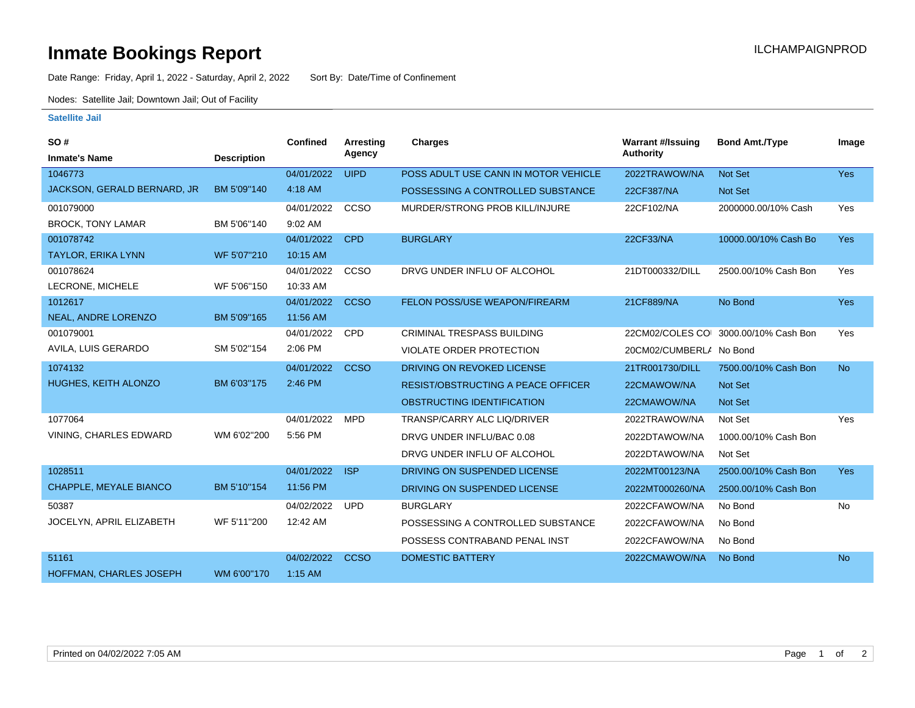## **Inmate Bookings Report International Contract Contract Contract Contract Contract Contract Contract Contract Contract Contract Contract Contract Contract Contract Contract Contract Contract Contract Contract Contract Co**

Date Range: Friday, April 1, 2022 - Saturday, April 2, 2022 Sort By: Date/Time of Confinement

Nodes: Satellite Jail; Downtown Jail; Out of Facility

## **Satellite Jail**

| SO#                         |                    | <b>Confined</b> | <b>Arresting</b> | <b>Charges</b>                            | <b>Warrant #/Issuing</b> | <b>Bond Amt./Type</b> | Image      |
|-----------------------------|--------------------|-----------------|------------------|-------------------------------------------|--------------------------|-----------------------|------------|
| <b>Inmate's Name</b>        | <b>Description</b> |                 | Agency           |                                           | <b>Authority</b>         |                       |            |
| 1046773                     |                    | 04/01/2022      | <b>UIPD</b>      | POSS ADULT USE CANN IN MOTOR VEHICLE      | 2022TRAWOW/NA            | Not Set               | <b>Yes</b> |
| JACKSON, GERALD BERNARD, JR | BM 5'09"140        | 4:18 AM         |                  | POSSESSING A CONTROLLED SUBSTANCE         | 22CF387/NA               | <b>Not Set</b>        |            |
| 001079000                   |                    | 04/01/2022      | CCSO             | MURDER/STRONG PROB KILL/INJURE            | 22CF102/NA               | 2000000.00/10% Cash   | Yes        |
| <b>BROCK, TONY LAMAR</b>    | BM 5'06"140        | 9:02 AM         |                  |                                           |                          |                       |            |
| 001078742                   |                    | 04/01/2022      | <b>CPD</b>       | <b>BURGLARY</b>                           | 22CF33/NA                | 10000.00/10% Cash Bo  | <b>Yes</b> |
| <b>TAYLOR, ERIKA LYNN</b>   | WF 5'07"210        | 10:15 AM        |                  |                                           |                          |                       |            |
| 001078624                   |                    | 04/01/2022      | CCSO             | DRVG UNDER INFLU OF ALCOHOL               | 21DT000332/DILL          | 2500.00/10% Cash Bon  | Yes        |
| LECRONE, MICHELE            | WF 5'06"150        | 10:33 AM        |                  |                                           |                          |                       |            |
| 1012617                     |                    | 04/01/2022      | <b>CCSO</b>      | FELON POSS/USE WEAPON/FIREARM             | 21CF889/NA               | No Bond               | <b>Yes</b> |
| NEAL, ANDRE LORENZO         | BM 5'09"165        | 11:56 AM        |                  |                                           |                          |                       |            |
| 001079001                   |                    | 04/01/2022      | <b>CPD</b>       | <b>CRIMINAL TRESPASS BUILDING</b>         | 22CM02/COLES COI         | 3000.00/10% Cash Bon  | Yes        |
| AVILA, LUIS GERARDO         | SM 5'02"154        | 2:06 PM         |                  | <b>VIOLATE ORDER PROTECTION</b>           | 20CM02/CUMBERLA No Bond  |                       |            |
| 1074132                     |                    | 04/01/2022      | <b>CCSO</b>      | DRIVING ON REVOKED LICENSE                | 21TR001730/DILL          | 7500.00/10% Cash Bon  | <b>No</b>  |
| HUGHES, KEITH ALONZO        | BM 6'03"175        | 2:46 PM         |                  | <b>RESIST/OBSTRUCTING A PEACE OFFICER</b> | 22CMAWOW/NA              | <b>Not Set</b>        |            |
|                             |                    |                 |                  | OBSTRUCTING IDENTIFICATION                | 22CMAWOW/NA              | <b>Not Set</b>        |            |
| 1077064                     |                    | 04/01/2022      | <b>MPD</b>       | TRANSP/CARRY ALC LIQ/DRIVER               | 2022TRAWOW/NA            | Not Set               | Yes        |
| VINING, CHARLES EDWARD      | WM 6'02"200        | 5:56 PM         |                  | DRVG UNDER INFLU/BAC 0.08                 | 2022DTAWOW/NA            | 1000.00/10% Cash Bon  |            |
|                             |                    |                 |                  | DRVG UNDER INFLU OF ALCOHOL               | 2022DTAWOW/NA            | Not Set               |            |
| 1028511                     |                    | 04/01/2022      | <b>ISP</b>       | DRIVING ON SUSPENDED LICENSE              | 2022MT00123/NA           | 2500.00/10% Cash Bon  | <b>Yes</b> |
| CHAPPLE, MEYALE BIANCO      | BM 5'10"154        | 11:56 PM        |                  | DRIVING ON SUSPENDED LICENSE              | 2022MT000260/NA          | 2500.00/10% Cash Bon  |            |
| 50387                       |                    | 04/02/2022      | <b>UPD</b>       | <b>BURGLARY</b>                           | 2022CFAWOW/NA            | No Bond               | No         |
| JOCELYN, APRIL ELIZABETH    | WF 5'11"200        | 12:42 AM        |                  | POSSESSING A CONTROLLED SUBSTANCE         | 2022CFAWOW/NA            | No Bond               |            |
|                             |                    |                 |                  | POSSESS CONTRABAND PENAL INST             | 2022CFAWOW/NA            | No Bond               |            |
| 51161                       |                    | 04/02/2022      | <b>CCSO</b>      | <b>DOMESTIC BATTERY</b>                   | 2022CMAWOW/NA            | No Bond               | <b>No</b>  |
| HOFFMAN, CHARLES JOSEPH     | WM 6'00"170        | $1:15$ AM       |                  |                                           |                          |                       |            |